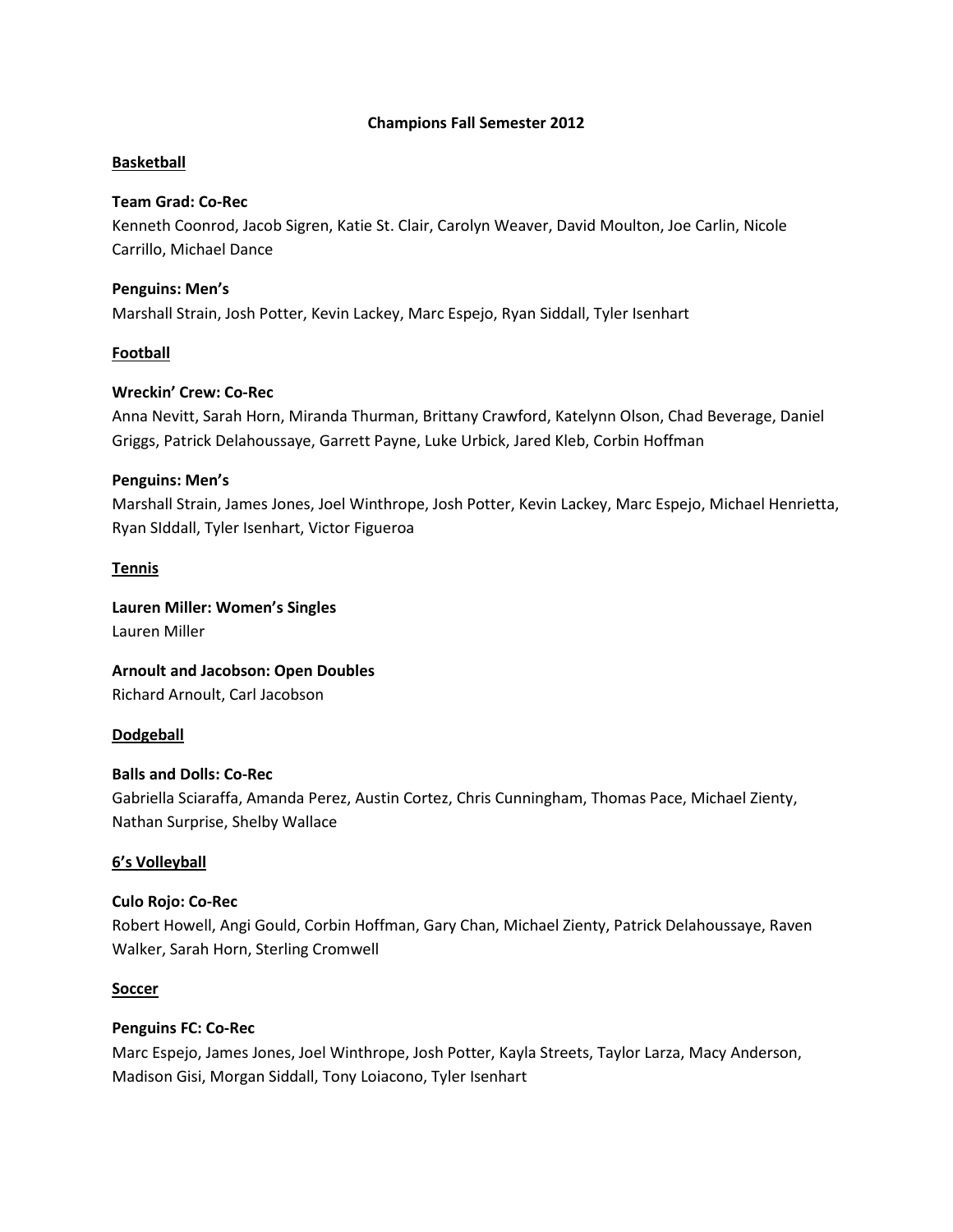#### **Champions Fall Semester 2012**

## **Basketball**

#### **Team Grad: Co-Rec**

Kenneth Coonrod, Jacob Sigren, Katie St. Clair, Carolyn Weaver, David Moulton, Joe Carlin, Nicole Carrillo, Michael Dance

#### **Penguins: Men's**

Marshall Strain, Josh Potter, Kevin Lackey, Marc Espejo, Ryan Siddall, Tyler Isenhart

#### **Football**

## **Wreckin' Crew: Co-Rec**

Anna Nevitt, Sarah Horn, Miranda Thurman, Brittany Crawford, Katelynn Olson, Chad Beverage, Daniel Griggs, Patrick Delahoussaye, Garrett Payne, Luke Urbick, Jared Kleb, Corbin Hoffman

#### **Penguins: Men's**

Marshall Strain, James Jones, Joel Winthrope, Josh Potter, Kevin Lackey, Marc Espejo, Michael Henrietta, Ryan SIddall, Tyler Isenhart, Victor Figueroa

#### **Tennis**

**Lauren Miller: Women's Singles** Lauren Miller

**Arnoult and Jacobson: Open Doubles** Richard Arnoult, Carl Jacobson

#### **Dodgeball**

#### **Balls and Dolls: Co-Rec**

Gabriella Sciaraffa, Amanda Perez, Austin Cortez, Chris Cunningham, Thomas Pace, Michael Zienty, Nathan Surprise, Shelby Wallace

#### **6's Volleyball**

#### **Culo Rojo: Co-Rec**

Robert Howell, Angi Gould, Corbin Hoffman, Gary Chan, Michael Zienty, Patrick Delahoussaye, Raven Walker, Sarah Horn, Sterling Cromwell

#### **Soccer**

#### **Penguins FC: Co-Rec**

Marc Espejo, James Jones, Joel Winthrope, Josh Potter, Kayla Streets, Taylor Larza, Macy Anderson, Madison Gisi, Morgan Siddall, Tony Loiacono, Tyler Isenhart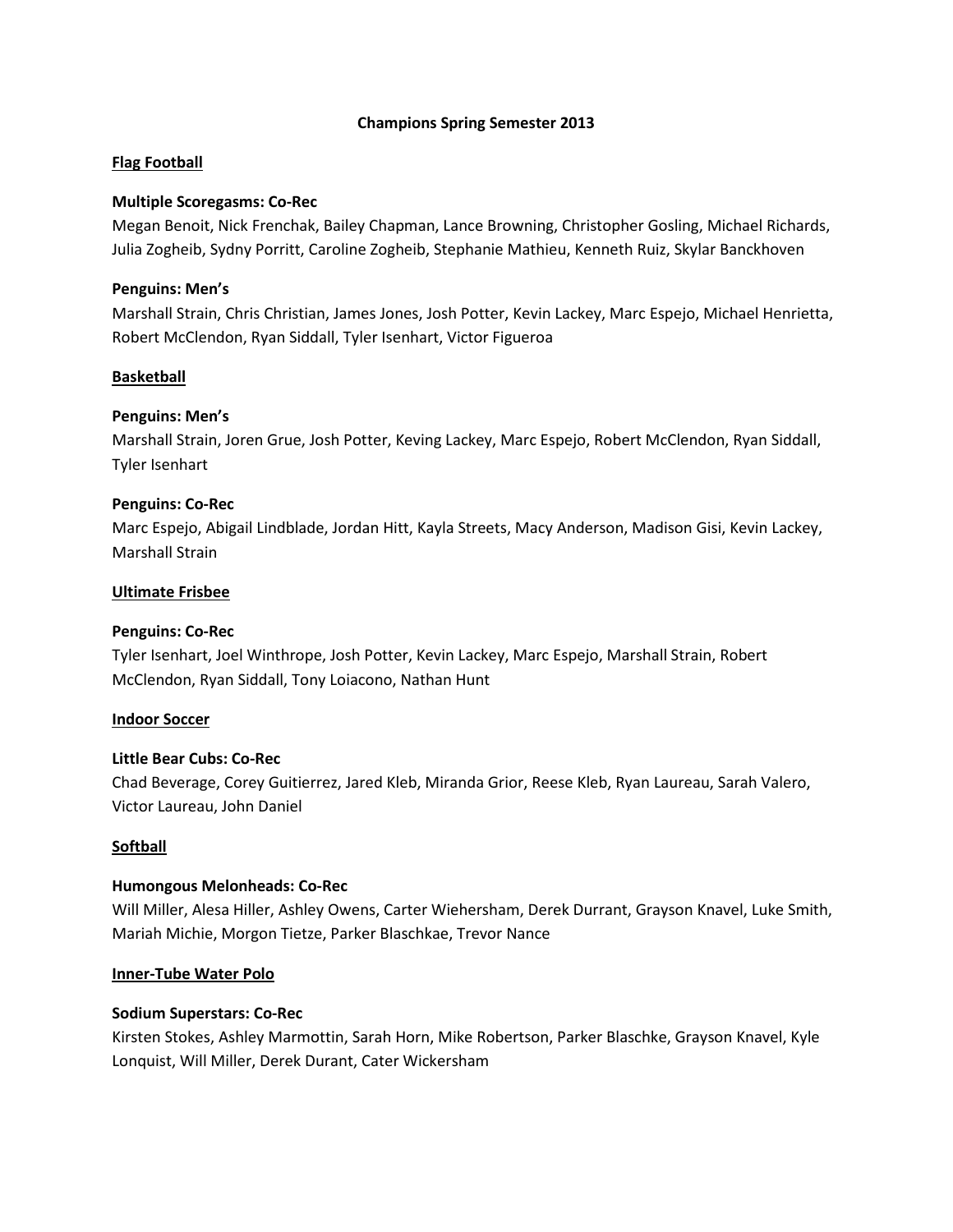#### **Champions Spring Semester 2013**

#### **Flag Football**

#### **Multiple Scoregasms: Co-Rec**

Megan Benoit, Nick Frenchak, Bailey Chapman, Lance Browning, Christopher Gosling, Michael Richards, Julia Zogheib, Sydny Porritt, Caroline Zogheib, Stephanie Mathieu, Kenneth Ruiz, Skylar Banckhoven

#### **Penguins: Men's**

Marshall Strain, Chris Christian, James Jones, Josh Potter, Kevin Lackey, Marc Espejo, Michael Henrietta, Robert McClendon, Ryan Siddall, Tyler Isenhart, Victor Figueroa

## **Basketball**

## **Penguins: Men's**

Marshall Strain, Joren Grue, Josh Potter, Keving Lackey, Marc Espejo, Robert McClendon, Ryan Siddall, Tyler Isenhart

## **Penguins: Co-Rec**

Marc Espejo, Abigail Lindblade, Jordan Hitt, Kayla Streets, Macy Anderson, Madison Gisi, Kevin Lackey, Marshall Strain

#### **Ultimate Frisbee**

#### **Penguins: Co-Rec**

Tyler Isenhart, Joel Winthrope, Josh Potter, Kevin Lackey, Marc Espejo, Marshall Strain, Robert McClendon, Ryan Siddall, Tony Loiacono, Nathan Hunt

#### **Indoor Soccer**

#### **Little Bear Cubs: Co-Rec**

Chad Beverage, Corey Guitierrez, Jared Kleb, Miranda Grior, Reese Kleb, Ryan Laureau, Sarah Valero, Victor Laureau, John Daniel

#### **Softball**

#### **Humongous Melonheads: Co-Rec**

Will Miller, Alesa Hiller, Ashley Owens, Carter Wiehersham, Derek Durrant, Grayson Knavel, Luke Smith, Mariah Michie, Morgon Tietze, Parker Blaschkae, Trevor Nance

#### **Inner-Tube Water Polo**

#### **Sodium Superstars: Co-Rec**

Kirsten Stokes, Ashley Marmottin, Sarah Horn, Mike Robertson, Parker Blaschke, Grayson Knavel, Kyle Lonquist, Will Miller, Derek Durant, Cater Wickersham